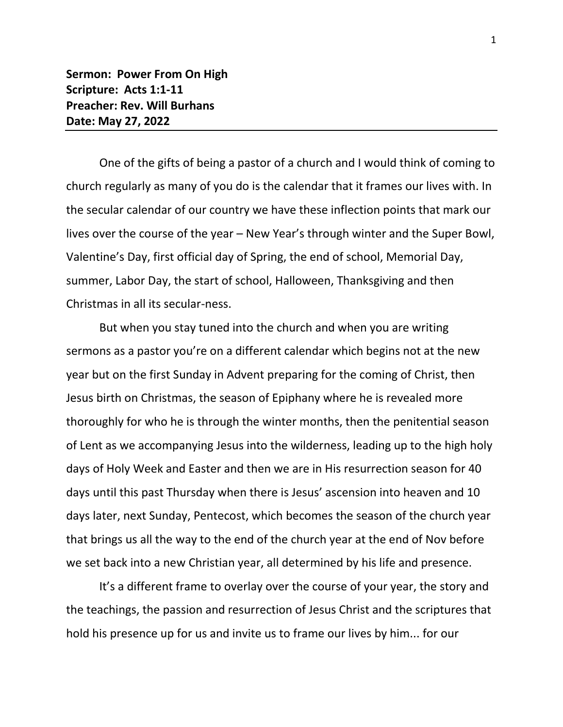**Sermon: Power From On High Scripture: Acts 1:1-11 Preacher: Rev. Will Burhans Date: May 27, 2022**

One of the gifts of being a pastor of a church and I would think of coming to church regularly as many of you do is the calendar that it frames our lives with. In the secular calendar of our country we have these inflection points that mark our lives over the course of the year – New Year's through winter and the Super Bowl, Valentine's Day, first official day of Spring, the end of school, Memorial Day, summer, Labor Day, the start of school, Halloween, Thanksgiving and then Christmas in all its secular-ness.

But when you stay tuned into the church and when you are writing sermons as a pastor you're on a different calendar which begins not at the new year but on the first Sunday in Advent preparing for the coming of Christ, then Jesus birth on Christmas, the season of Epiphany where he is revealed more thoroughly for who he is through the winter months, then the penitential season of Lent as we accompanying Jesus into the wilderness, leading up to the high holy days of Holy Week and Easter and then we are in His resurrection season for 40 days until this past Thursday when there is Jesus' ascension into heaven and 10 days later, next Sunday, Pentecost, which becomes the season of the church year that brings us all the way to the end of the church year at the end of Nov before we set back into a new Christian year, all determined by his life and presence.

It's a different frame to overlay over the course of your year, the story and the teachings, the passion and resurrection of Jesus Christ and the scriptures that hold his presence up for us and invite us to frame our lives by him... for our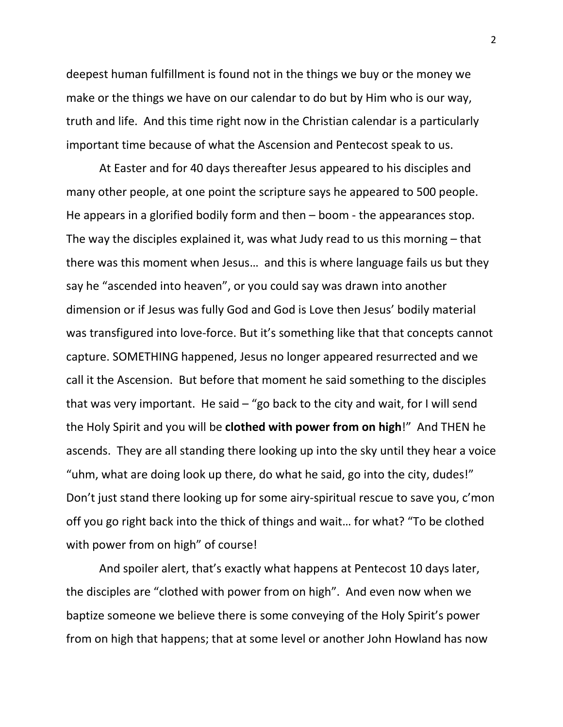deepest human fulfillment is found not in the things we buy or the money we make or the things we have on our calendar to do but by Him who is our way, truth and life. And this time right now in the Christian calendar is a particularly important time because of what the Ascension and Pentecost speak to us.

At Easter and for 40 days thereafter Jesus appeared to his disciples and many other people, at one point the scripture says he appeared to 500 people. He appears in a glorified bodily form and then – boom - the appearances stop. The way the disciples explained it, was what Judy read to us this morning – that there was this moment when Jesus… and this is where language fails us but they say he "ascended into heaven", or you could say was drawn into another dimension or if Jesus was fully God and God is Love then Jesus' bodily material was transfigured into love-force. But it's something like that that concepts cannot capture. SOMETHING happened, Jesus no longer appeared resurrected and we call it the Ascension. But before that moment he said something to the disciples that was very important. He said  $-$  "go back to the city and wait, for I will send the Holy Spirit and you will be **clothed with power from on high**!" And THEN he ascends. They are all standing there looking up into the sky until they hear a voice "uhm, what are doing look up there, do what he said, go into the city, dudes!" Don't just stand there looking up for some airy-spiritual rescue to save you, c'mon off you go right back into the thick of things and wait… for what? "To be clothed with power from on high" of course!

And spoiler alert, that's exactly what happens at Pentecost 10 days later, the disciples are "clothed with power from on high". And even now when we baptize someone we believe there is some conveying of the Holy Spirit's power from on high that happens; that at some level or another John Howland has now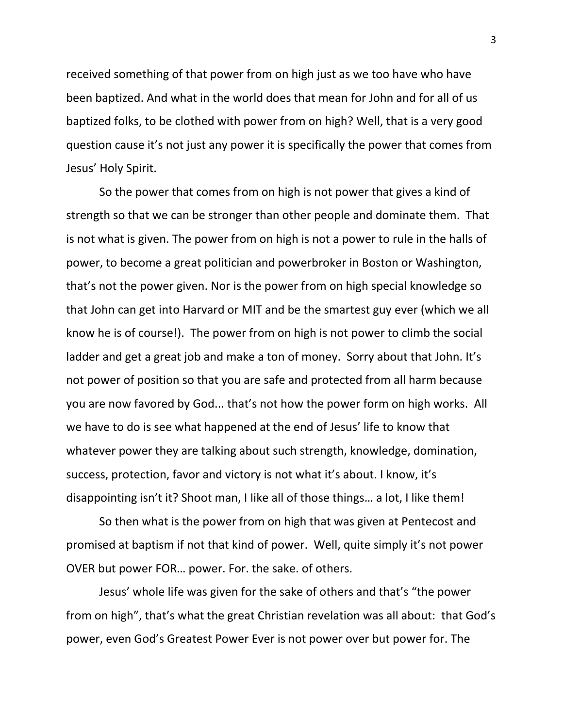received something of that power from on high just as we too have who have been baptized. And what in the world does that mean for John and for all of us baptized folks, to be clothed with power from on high? Well, that is a very good question cause it's not just any power it is specifically the power that comes from Jesus' Holy Spirit.

So the power that comes from on high is not power that gives a kind of strength so that we can be stronger than other people and dominate them. That is not what is given. The power from on high is not a power to rule in the halls of power, to become a great politician and powerbroker in Boston or Washington, that's not the power given. Nor is the power from on high special knowledge so that John can get into Harvard or MIT and be the smartest guy ever (which we all know he is of course!). The power from on high is not power to climb the social ladder and get a great job and make a ton of money. Sorry about that John. It's not power of position so that you are safe and protected from all harm because you are now favored by God... that's not how the power form on high works. All we have to do is see what happened at the end of Jesus' life to know that whatever power they are talking about such strength, knowledge, domination, success, protection, favor and victory is not what it's about. I know, it's disappointing isn't it? Shoot man, I Iike all of those things… a lot, I like them!

So then what is the power from on high that was given at Pentecost and promised at baptism if not that kind of power. Well, quite simply it's not power OVER but power FOR… power. For. the sake. of others.

Jesus' whole life was given for the sake of others and that's "the power from on high", that's what the great Christian revelation was all about: that God's power, even God's Greatest Power Ever is not power over but power for. The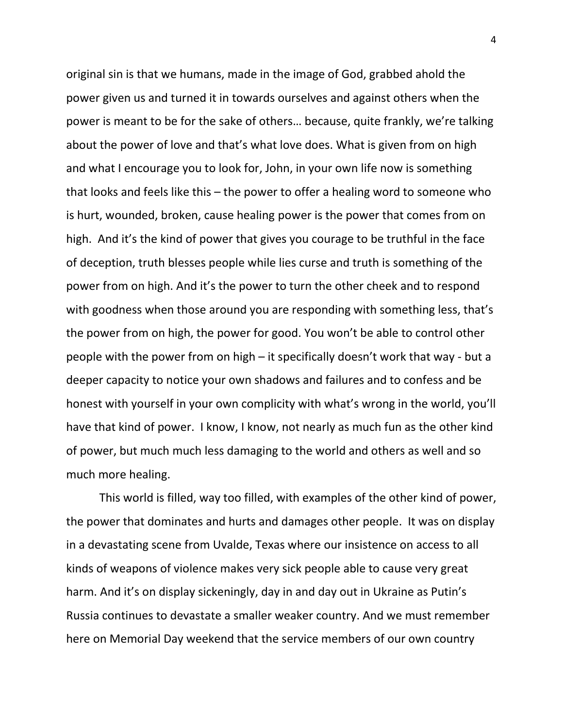original sin is that we humans, made in the image of God, grabbed ahold the power given us and turned it in towards ourselves and against others when the power is meant to be for the sake of others… because, quite frankly, we're talking about the power of love and that's what love does. What is given from on high and what I encourage you to look for, John, in your own life now is something that looks and feels like this – the power to offer a healing word to someone who is hurt, wounded, broken, cause healing power is the power that comes from on high. And it's the kind of power that gives you courage to be truthful in the face of deception, truth blesses people while lies curse and truth is something of the power from on high. And it's the power to turn the other cheek and to respond with goodness when those around you are responding with something less, that's the power from on high, the power for good. You won't be able to control other people with the power from on high – it specifically doesn't work that way - but a deeper capacity to notice your own shadows and failures and to confess and be honest with yourself in your own complicity with what's wrong in the world, you'll have that kind of power. I know, I know, not nearly as much fun as the other kind of power, but much much less damaging to the world and others as well and so much more healing.

This world is filled, way too filled, with examples of the other kind of power, the power that dominates and hurts and damages other people. It was on display in a devastating scene from Uvalde, Texas where our insistence on access to all kinds of weapons of violence makes very sick people able to cause very great harm. And it's on display sickeningly, day in and day out in Ukraine as Putin's Russia continues to devastate a smaller weaker country. And we must remember here on Memorial Day weekend that the service members of our own country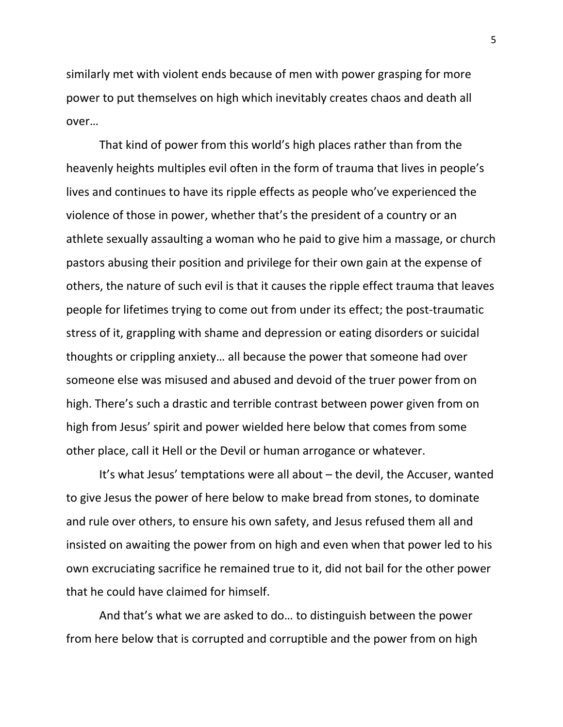similarly met with violent ends because of men with power grasping for more power to put themselves on high which inevitably creates chaos and death all over…

That kind of power from this world's high places rather than from the heavenly heights multiples evil often in the form of trauma that lives in people's lives and continues to have its ripple effects as people who've experienced the violence of those in power, whether that's the president of a country or an athlete sexually assaulting a woman who he paid to give him a massage, or church pastors abusing their position and privilege for their own gain at the expense of others, the nature of such evil is that it causes the ripple effect trauma that leaves people for lifetimes trying to come out from under its effect; the post-traumatic stress of it, grappling with shame and depression or eating disorders or suicidal thoughts or crippling anxiety… all because the power that someone had over someone else was misused and abused and devoid of the truer power from on high. There's such a drastic and terrible contrast between power given from on high from Jesus' spirit and power wielded here below that comes from some other place, call it Hell or the Devil or human arrogance or whatever.

It's what Jesus' temptations were all about – the devil, the Accuser, wanted to give Jesus the power of here below to make bread from stones, to dominate and rule over others, to ensure his own safety, and Jesus refused them all and insisted on awaiting the power from on high and even when that power led to his own excruciating sacrifice he remained true to it, did not bail for the other power that he could have claimed for himself.

And that's what we are asked to do… to distinguish between the power from here below that is corrupted and corruptible and the power from on high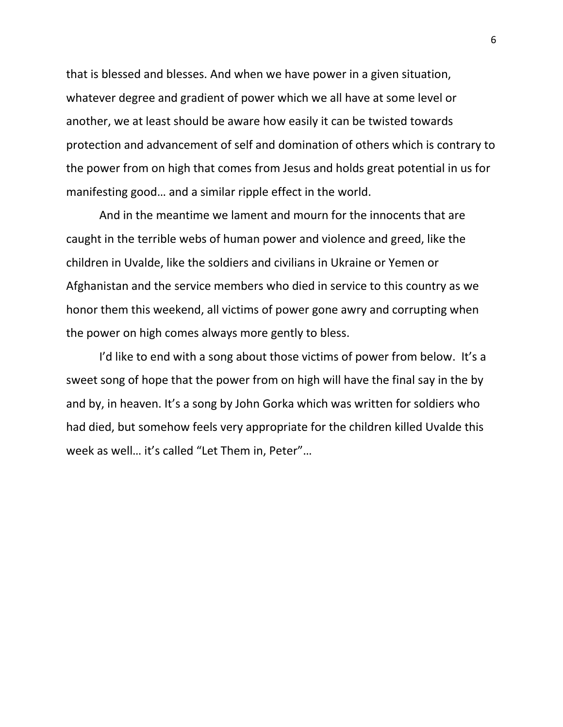that is blessed and blesses. And when we have power in a given situation, whatever degree and gradient of power which we all have at some level or another, we at least should be aware how easily it can be twisted towards protection and advancement of self and domination of others which is contrary to the power from on high that comes from Jesus and holds great potential in us for manifesting good… and a similar ripple effect in the world.

And in the meantime we lament and mourn for the innocents that are caught in the terrible webs of human power and violence and greed, like the children in Uvalde, like the soldiers and civilians in Ukraine or Yemen or Afghanistan and the service members who died in service to this country as we honor them this weekend, all victims of power gone awry and corrupting when the power on high comes always more gently to bless.

I'd like to end with a song about those victims of power from below. It's a sweet song of hope that the power from on high will have the final say in the by and by, in heaven. It's a song by John Gorka which was written for soldiers who had died, but somehow feels very appropriate for the children killed Uvalde this week as well… it's called "Let Them in, Peter"…